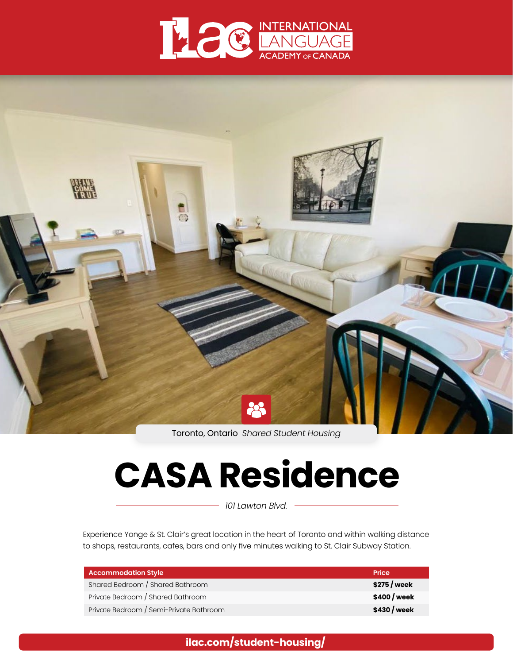



Toronto, Ontario *Shared Student Housing*

# **CASA Residence**

*101 Lawton Blvd.*

Experience Yonge & St. Clair's great location in the heart of Toronto and within walking distance to shops, restaurants, cafes, bars and only five minutes walking to St. Clair Subway Station.

| <b>Accommodation Style</b>              | <b>Price</b>  |
|-----------------------------------------|---------------|
| Shared Bedroom / Shared Bathroom        | $$275$ / week |
| Private Bedroom / Shared Bathroom       | \$400 / week  |
| Private Bedroom / Semi-Private Bathroom | \$430 / week  |

**[ilac.com/student-housing/](https://www.ilac.com/student-housing/)**